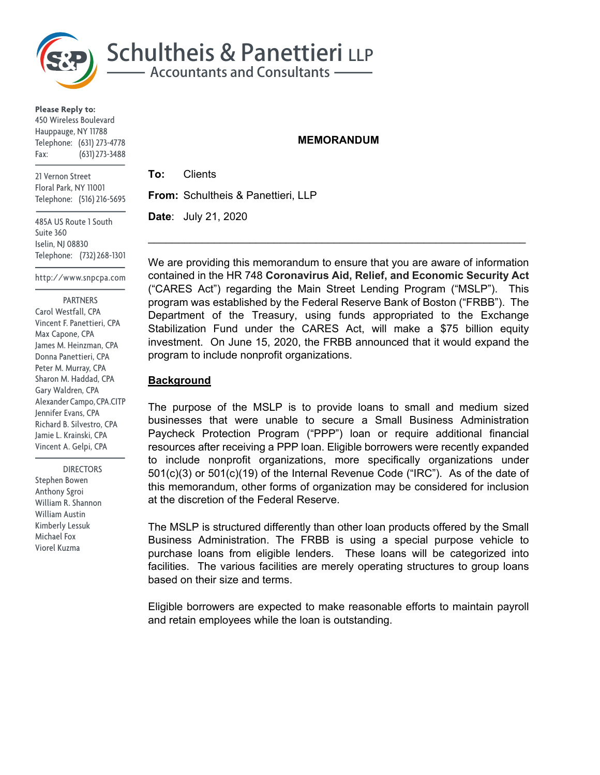

**Please Reply to:** 450 Wireless Boulevard Hauppauge, NY 11788 Telephone: (631) 273-4778 Fax: (631) 273-3488

21 Vernon Street Floral Park, NY 11001 Telephone: (516) 216-5695

485A US Route 1 South Suite 360 Iselin, NJ 08830 Telephone: (732) 268-1301

http://www.snpcpa.com

 PARTNERS Carol Westfall, CPA Vincent F. Panettieri, CPA Max Capone, CPA James M. Heinzman, CPA Donna Panettieri, CPA Peter M. Murray, CPA Sharon M. Haddad, CPA Gary Waldren, CPA Alexander Campo, CPA.CITP Jennifer Evans, CPA Richard B. Silvestro, CPA Jamie L. Krainski, CPA Vincent A. Gelpi, CPA

 DIRECTORS Stephen Bowen Anthony Sgroi William R. Shannon William Austin Kimberly Lessuk Michael Fox Viorel Kuzma

### **MEMORANDUM**

**To:** Clients **From:** Schultheis & Panettieri, LLP **Date**: July 21, 2020

We are providing this memorandum to ensure that you are aware of information contained in the HR 748 **Coronavirus Aid, Relief, and Economic Security Act**  ("CARES Act") regarding the Main Street Lending Program ("MSLP"). This program was established by the Federal Reserve Bank of Boston ("FRBB"). The Department of the Treasury, using funds appropriated to the Exchange Stabilization Fund under the CARES Act, will make a \$75 billion equity investment. On June 15, 2020, the FRBB announced that it would expand the program to include nonprofit organizations.

 $\mathcal{L}_\text{max} = \mathcal{L}_\text{max} = \mathcal{L}_\text{max} = \mathcal{L}_\text{max} = \mathcal{L}_\text{max} = \mathcal{L}_\text{max} = \mathcal{L}_\text{max} = \mathcal{L}_\text{max} = \mathcal{L}_\text{max} = \mathcal{L}_\text{max} = \mathcal{L}_\text{max} = \mathcal{L}_\text{max} = \mathcal{L}_\text{max} = \mathcal{L}_\text{max} = \mathcal{L}_\text{max} = \mathcal{L}_\text{max} = \mathcal{L}_\text{max} = \mathcal{L}_\text{max} = \mathcal{$ 

### **Background**

The purpose of the MSLP is to provide loans to small and medium sized businesses that were unable to secure a Small Business Administration Paycheck Protection Program ("PPP") loan or require additional financial resources after receiving a PPP loan. Eligible borrowers were recently expanded to include nonprofit organizations, more specifically organizations under 501(c)(3) or 501(c)(19) of the Internal Revenue Code ("IRC"). As of the date of this memorandum, other forms of organization may be considered for inclusion at the discretion of the Federal Reserve.

The MSLP is structured differently than other loan products offered by the Small Business Administration. The FRBB is using a special purpose vehicle to purchase loans from eligible lenders. These loans will be categorized into facilities. The various facilities are merely operating structures to group loans based on their size and terms.

Eligible borrowers are expected to make reasonable efforts to maintain payroll and retain employees while the loan is outstanding.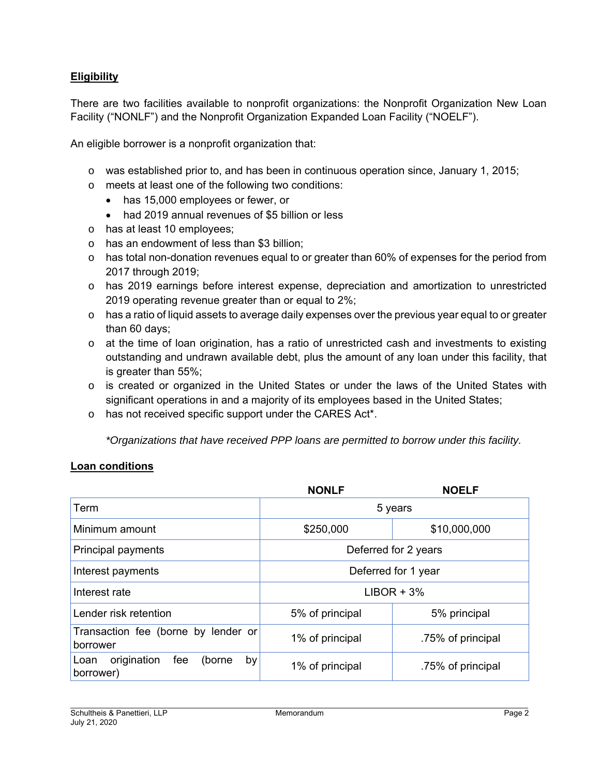# **Eligibility**

There are two facilities available to nonprofit organizations: the Nonprofit Organization New Loan Facility ("NONLF") and the Nonprofit Organization Expanded Loan Facility ("NOELF").

An eligible borrower is a nonprofit organization that:

- o was established prior to, and has been in continuous operation since, January 1, 2015;
- o meets at least one of the following two conditions:
	- has 15,000 employees or fewer, or
	- had 2019 annual revenues of \$5 billion or less
- o has at least 10 employees;
- o has an endowment of less than \$3 billion;
- o has total non-donation revenues equal to or greater than 60% of expenses for the period from 2017 through 2019;
- o has 2019 earnings before interest expense, depreciation and amortization to unrestricted 2019 operating revenue greater than or equal to 2%;
- $\circ$  has a ratio of liquid assets to average daily expenses over the previous year equal to or greater than 60 days;
- $\circ$  at the time of loan origination, has a ratio of unrestricted cash and investments to existing outstanding and undrawn available debt, plus the amount of any loan under this facility, that is greater than 55%;
- $\circ$  is created or organized in the United States or under the laws of the United States with significant operations in and a majority of its employees based in the United States;
- o has not received specific support under the CARES Act\*.

*\*Organizations that have received PPP loans are permitted to borrow under this facility.* 

# **Loan conditions**

|                                                         | <b>NONLF</b>         | <b>NOELF</b>      |
|---------------------------------------------------------|----------------------|-------------------|
| Term                                                    | 5 years              |                   |
| Minimum amount                                          | \$250,000            | \$10,000,000      |
| Principal payments                                      | Deferred for 2 years |                   |
| Interest payments                                       | Deferred for 1 year  |                   |
| Interest rate                                           | $LIBOR + 3%$         |                   |
| Lender risk retention                                   | 5% of principal      | 5% principal      |
| Transaction fee (borne by lender or<br>borrower         | 1% of principal      | .75% of principal |
| origination<br>fee<br>Loan<br>(borne<br>by<br>borrower) | 1% of principal      | .75% of principal |